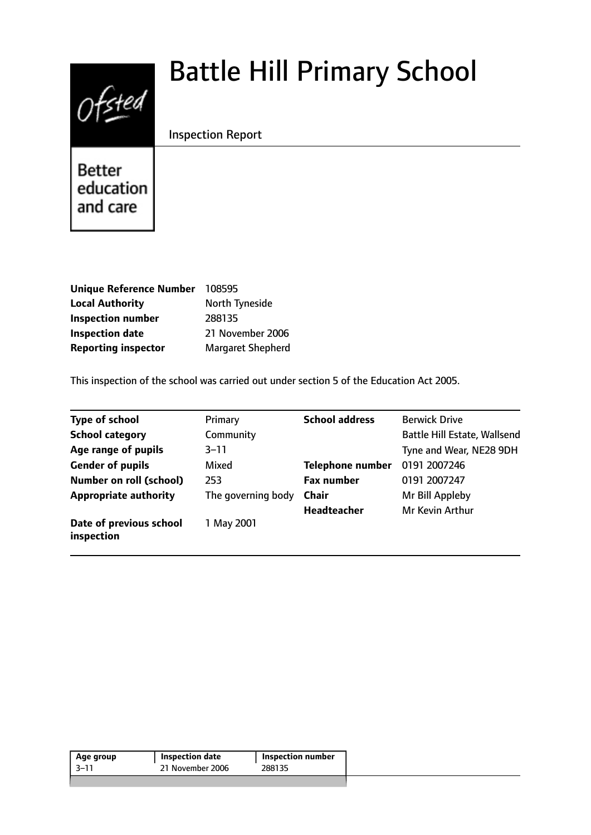# $0$ fsted

# Battle Hill Primary School

# Inspection Report

**Better** education and care

| <b>Unique Reference Number</b> | 108595                   |
|--------------------------------|--------------------------|
| <b>Local Authority</b>         | North Tyneside           |
| <b>Inspection number</b>       | 288135                   |
| <b>Inspection date</b>         | 21 November 2006         |
| <b>Reporting inspector</b>     | <b>Margaret Shepherd</b> |

This inspection of the school was carried out under section 5 of the Education Act 2005.

| Type of school                        | Primary            | <b>School address</b>   | <b>Berwick Drive</b>                |
|---------------------------------------|--------------------|-------------------------|-------------------------------------|
| <b>School category</b>                | Community          |                         | <b>Battle Hill Estate, Wallsend</b> |
| Age range of pupils                   | $3 - 11$           |                         | Tyne and Wear, NE28 9DH             |
| <b>Gender of pupils</b>               | Mixed              | <b>Telephone number</b> | 0191 2007246                        |
| Number on roll (school)               | 253                | <b>Fax number</b>       | 0191 2007247                        |
| <b>Appropriate authority</b>          | The governing body | <b>Chair</b>            | Mr Bill Appleby                     |
|                                       |                    | <b>Headteacher</b>      | Mr Kevin Arthur                     |
| Date of previous school<br>inspection | 1 May 2001         |                         |                                     |

| 21 November 2006<br>-3–11<br>288135 | Age group | Inspection date | <b>Inspection number</b> |
|-------------------------------------|-----------|-----------------|--------------------------|
|                                     |           |                 |                          |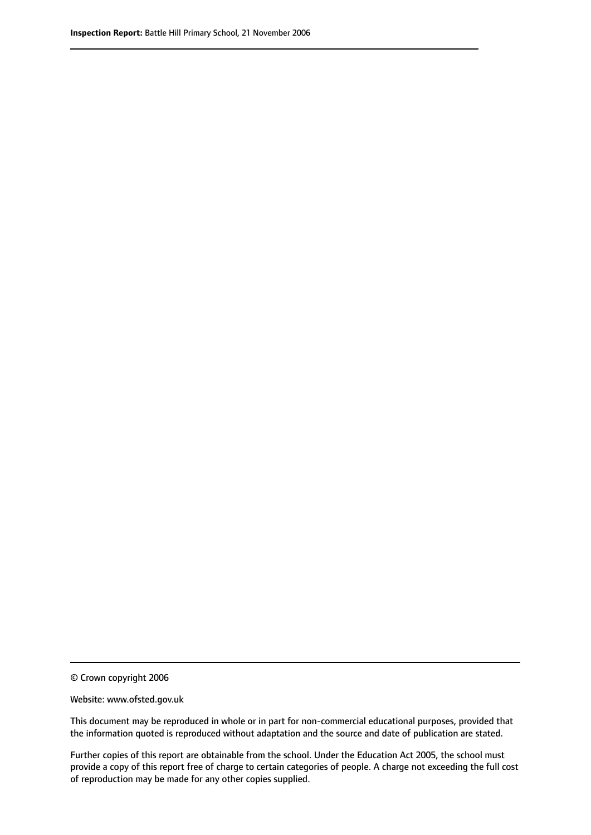© Crown copyright 2006

Website: www.ofsted.gov.uk

This document may be reproduced in whole or in part for non-commercial educational purposes, provided that the information quoted is reproduced without adaptation and the source and date of publication are stated.

Further copies of this report are obtainable from the school. Under the Education Act 2005, the school must provide a copy of this report free of charge to certain categories of people. A charge not exceeding the full cost of reproduction may be made for any other copies supplied.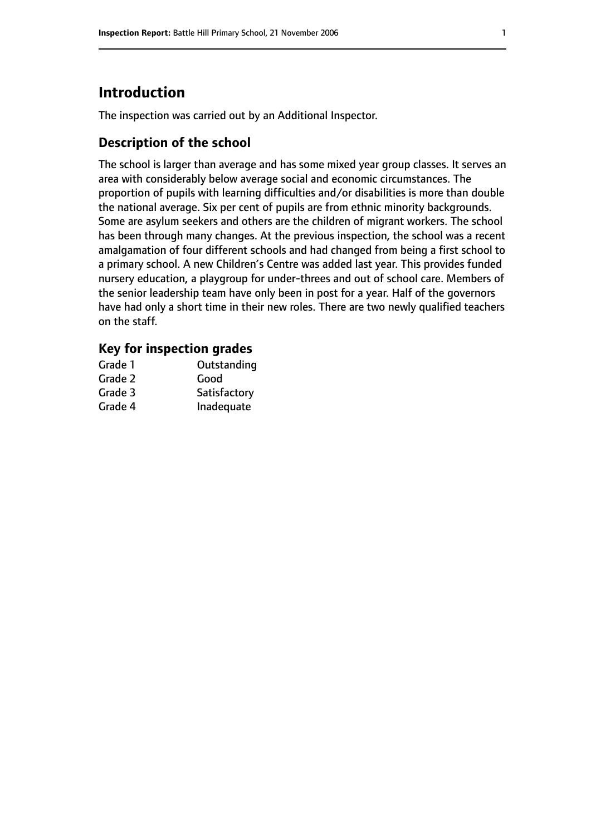# **Introduction**

The inspection was carried out by an Additional Inspector.

# **Description of the school**

The school is larger than average and has some mixed year group classes. It serves an area with considerably below average social and economic circumstances. The proportion of pupils with learning difficulties and/or disabilities is more than double the national average. Six per cent of pupils are from ethnic minority backgrounds. Some are asylum seekers and others are the children of migrant workers. The school has been through many changes. At the previous inspection, the school was a recent amalgamation of four different schools and had changed from being a first school to a primary school. A new Children's Centre was added last year. This provides funded nursery education, a playgroup for under-threes and out of school care. Members of the senior leadership team have only been in post for a year. Half of the governors have had only a short time in their new roles. There are two newly qualified teachers on the staff.

### **Key for inspection grades**

| Grade 1 | Outstanding  |
|---------|--------------|
| Grade 2 | Good         |
| Grade 3 | Satisfactory |
| Grade 4 | Inadequate   |
|         |              |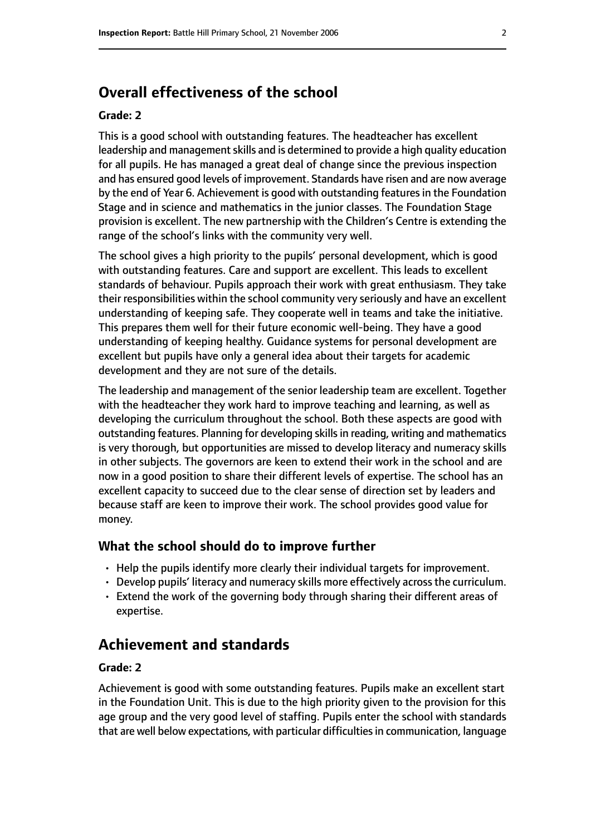# **Overall effectiveness of the school**

#### **Grade: 2**

This is a good school with outstanding features. The headteacher has excellent leadership and management skills and is determined to provide a high quality education for all pupils. He has managed a great deal of change since the previous inspection and has ensured good levels of improvement. Standards have risen and are now average by the end of Year 6. Achievement is good with outstanding features in the Foundation Stage and in science and mathematics in the junior classes. The Foundation Stage provision is excellent. The new partnership with the Children's Centre is extending the range of the school's links with the community very well.

The school gives a high priority to the pupils' personal development, which is good with outstanding features. Care and support are excellent. This leads to excellent standards of behaviour. Pupils approach their work with great enthusiasm. They take their responsibilities within the school community very seriously and have an excellent understanding of keeping safe. They cooperate well in teams and take the initiative. This prepares them well for their future economic well-being. They have a good understanding of keeping healthy. Guidance systems for personal development are excellent but pupils have only a general idea about their targets for academic development and they are not sure of the details.

The leadership and management of the senior leadership team are excellent. Together with the headteacher they work hard to improve teaching and learning, as well as developing the curriculum throughout the school. Both these aspects are good with outstanding features. Planning for developing skills in reading, writing and mathematics is very thorough, but opportunities are missed to develop literacy and numeracy skills in other subjects. The governors are keen to extend their work in the school and are now in a good position to share their different levels of expertise. The school has an excellent capacity to succeed due to the clear sense of direction set by leaders and because staff are keen to improve their work. The school provides good value for money.

#### **What the school should do to improve further**

- Help the pupils identify more clearly their individual targets for improvement.
- Develop pupils' literacy and numeracy skills more effectively across the curriculum.
- Extend the work of the governing body through sharing their different areas of expertise.

# **Achievement and standards**

#### **Grade: 2**

Achievement is good with some outstanding features. Pupils make an excellent start in the Foundation Unit. This is due to the high priority given to the provision for this age group and the very good level of staffing. Pupils enter the school with standards that are well below expectations, with particular difficulties in communication, language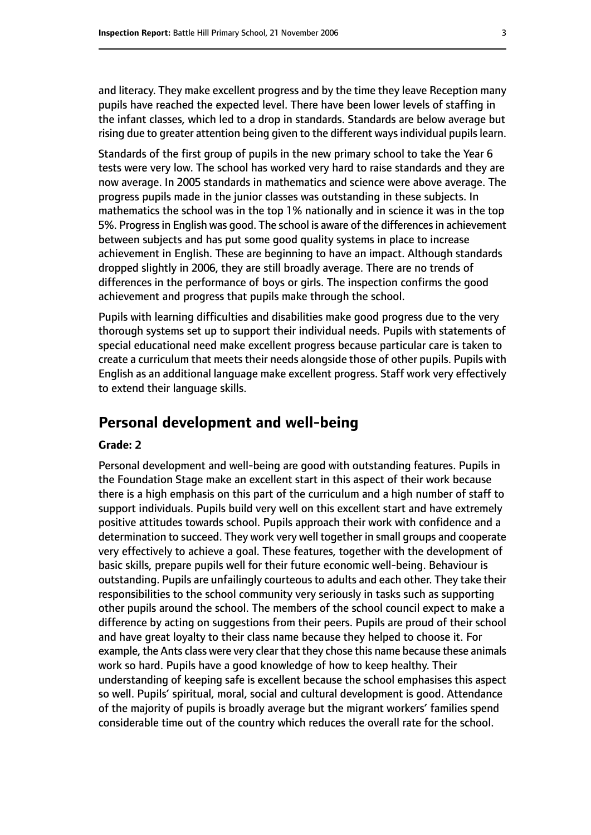and literacy. They make excellent progress and by the time they leave Reception many pupils have reached the expected level. There have been lower levels of staffing in the infant classes, which led to a drop in standards. Standards are below average but rising due to greater attention being given to the different ways individual pupils learn.

Standards of the first group of pupils in the new primary school to take the Year 6 tests were very low. The school has worked very hard to raise standards and they are now average. In 2005 standards in mathematics and science were above average. The progress pupils made in the junior classes was outstanding in these subjects. In mathematics the school was in the top 1% nationally and in science it was in the top 5%. Progress in English was good. The school is aware of the differences in achievement between subjects and has put some good quality systems in place to increase achievement in English. These are beginning to have an impact. Although standards dropped slightly in 2006, they are still broadly average. There are no trends of differences in the performance of boys or girls. The inspection confirms the good achievement and progress that pupils make through the school.

Pupils with learning difficulties and disabilities make good progress due to the very thorough systems set up to support their individual needs. Pupils with statements of special educational need make excellent progress because particular care is taken to create a curriculum that meets their needs alongside those of other pupils. Pupils with English as an additional language make excellent progress. Staff work very effectively to extend their language skills.

# **Personal development and well-being**

#### **Grade: 2**

Personal development and well-being are good with outstanding features. Pupils in the Foundation Stage make an excellent start in this aspect of their work because there is a high emphasis on this part of the curriculum and a high number of staff to support individuals. Pupils build very well on this excellent start and have extremely positive attitudes towards school. Pupils approach their work with confidence and a determination to succeed. They work very well together in small groups and cooperate very effectively to achieve a goal. These features, together with the development of basic skills, prepare pupils well for their future economic well-being. Behaviour is outstanding. Pupils are unfailingly courteous to adults and each other. They take their responsibilities to the school community very seriously in tasks such as supporting other pupils around the school. The members of the school council expect to make a difference by acting on suggestions from their peers. Pupils are proud of their school and have great loyalty to their class name because they helped to choose it. For example, the Ants class were very clear that they chose this name because these animals work so hard. Pupils have a good knowledge of how to keep healthy. Their understanding of keeping safe is excellent because the school emphasises this aspect so well. Pupils' spiritual, moral, social and cultural development is good. Attendance of the majority of pupils is broadly average but the migrant workers' families spend considerable time out of the country which reduces the overall rate for the school.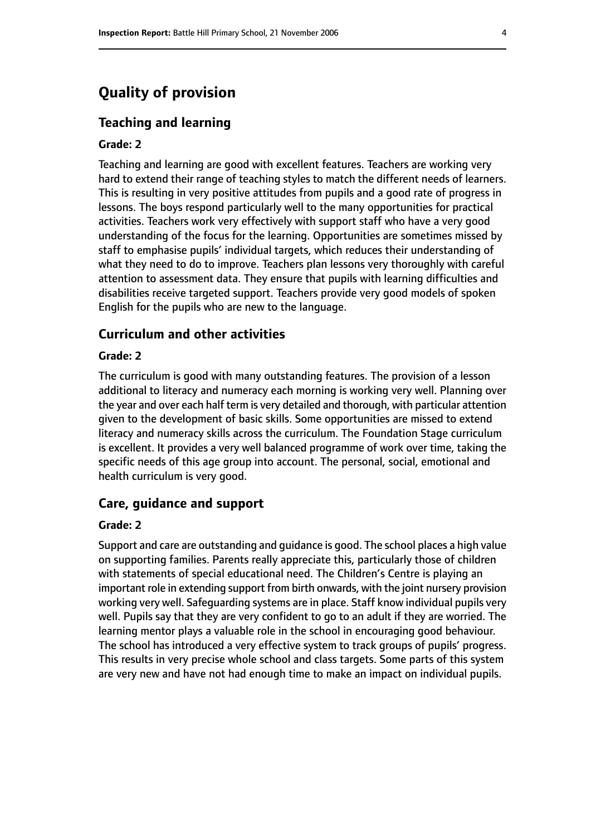# **Quality of provision**

#### **Teaching and learning**

#### **Grade: 2**

Teaching and learning are good with excellent features. Teachers are working very hard to extend their range of teaching styles to match the different needs of learners. This is resulting in very positive attitudes from pupils and a good rate of progress in lessons. The boys respond particularly well to the many opportunities for practical activities. Teachers work very effectively with support staff who have a very good understanding of the focus for the learning. Opportunities are sometimes missed by staff to emphasise pupils' individual targets, which reduces their understanding of what they need to do to improve. Teachers plan lessons very thoroughly with careful attention to assessment data. They ensure that pupils with learning difficulties and disabilities receive targeted support. Teachers provide very good models of spoken English for the pupils who are new to the language.

#### **Curriculum and other activities**

#### **Grade: 2**

The curriculum is good with many outstanding features. The provision of a lesson additional to literacy and numeracy each morning is working very well. Planning over the year and over each half term is very detailed and thorough, with particular attention given to the development of basic skills. Some opportunities are missed to extend literacy and numeracy skills across the curriculum. The Foundation Stage curriculum is excellent. It provides a very well balanced programme of work over time, taking the specific needs of this age group into account. The personal, social, emotional and health curriculum is very good.

#### **Care, guidance and support**

#### **Grade: 2**

Support and care are outstanding and guidance is good. The school places a high value on supporting families. Parents really appreciate this, particularly those of children with statements of special educational need. The Children's Centre is playing an important role in extending support from birth onwards, with the joint nursery provision working very well. Safeguarding systems are in place. Staff know individual pupils very well. Pupils say that they are very confident to go to an adult if they are worried. The learning mentor plays a valuable role in the school in encouraging good behaviour. The school has introduced a very effective system to track groups of pupils' progress. This results in very precise whole school and class targets. Some parts of this system are very new and have not had enough time to make an impact on individual pupils.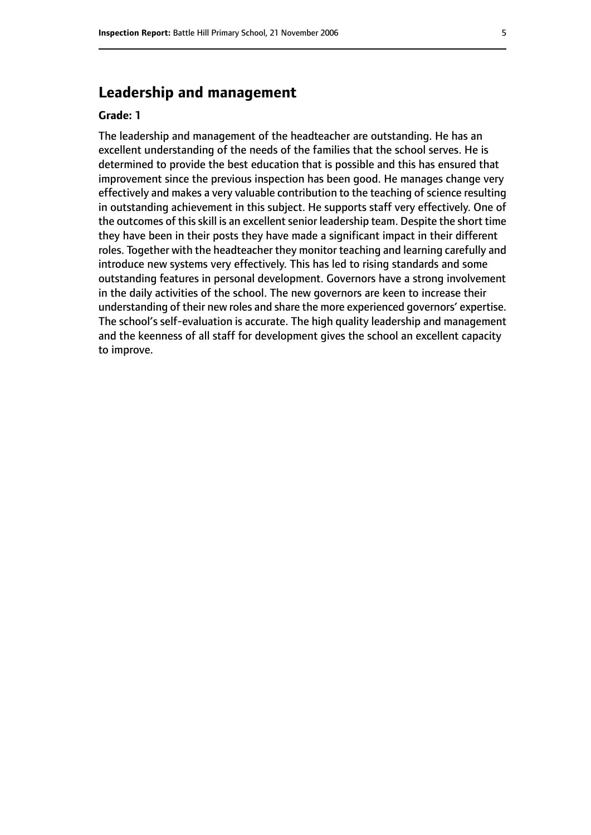# **Leadership and management**

#### **Grade: 1**

The leadership and management of the headteacher are outstanding. He has an excellent understanding of the needs of the families that the school serves. He is determined to provide the best education that is possible and this has ensured that improvement since the previous inspection has been good. He manages change very effectively and makes a very valuable contribution to the teaching of science resulting in outstanding achievement in this subject. He supports staff very effectively. One of the outcomes of this skill is an excellent senior leadership team. Despite the short time they have been in their posts they have made a significant impact in their different roles. Together with the headteacher they monitor teaching and learning carefully and introduce new systems very effectively. This has led to rising standards and some outstanding features in personal development. Governors have a strong involvement in the daily activities of the school. The new governors are keen to increase their understanding of their new roles and share the more experienced governors' expertise. The school's self-evaluation is accurate. The high quality leadership and management and the keenness of all staff for development gives the school an excellent capacity to improve.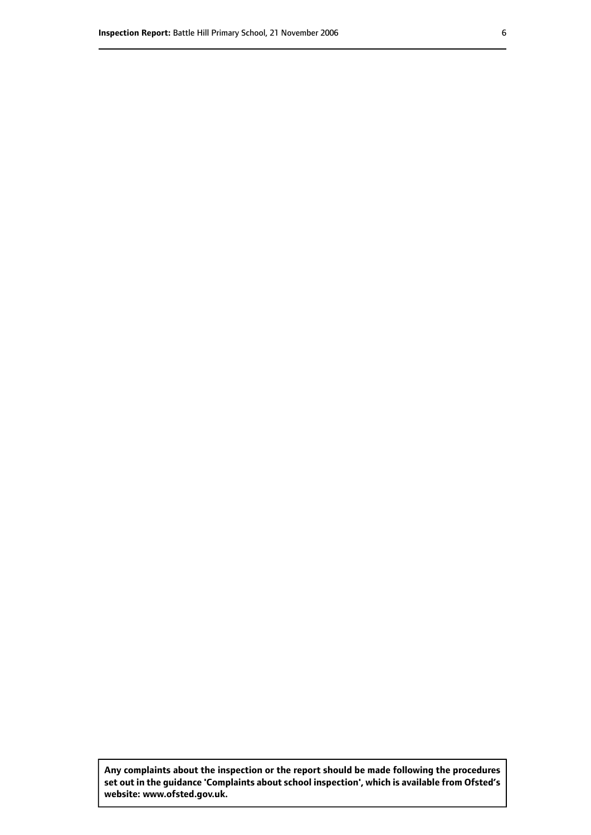**Any complaints about the inspection or the report should be made following the procedures set out inthe guidance 'Complaints about school inspection', whichis available from Ofsted's website: www.ofsted.gov.uk.**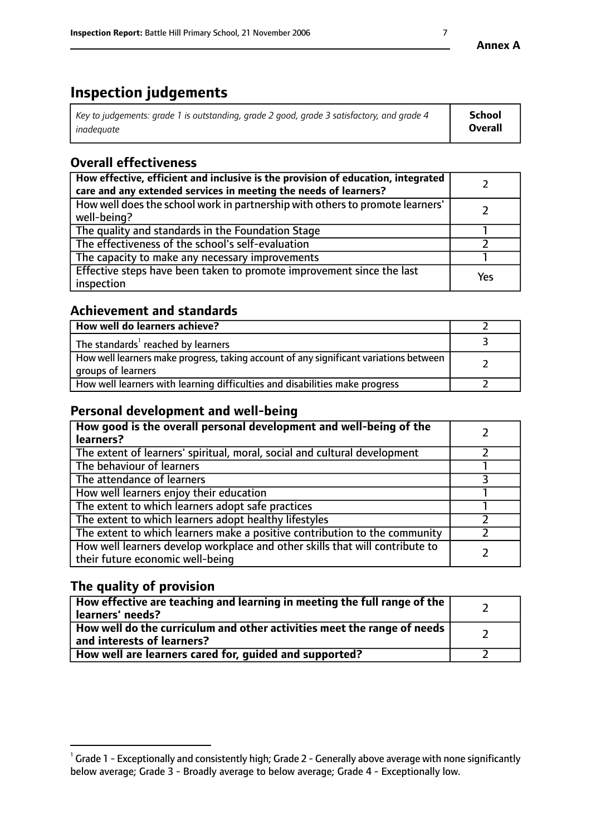# **Inspection judgements**

| Key to judgements: grade 1 is outstanding, grade 2 good, grade 3 satisfactory, and grade 4 | School         |
|--------------------------------------------------------------------------------------------|----------------|
| inadeauate                                                                                 | <b>Overall</b> |

# **Overall effectiveness**

| How effective, efficient and inclusive is the provision of education, integrated<br>care and any extended services in meeting the needs of learners? |     |
|------------------------------------------------------------------------------------------------------------------------------------------------------|-----|
| How well does the school work in partnership with others to promote learners'<br>well-being?                                                         |     |
| The quality and standards in the Foundation Stage                                                                                                    |     |
| The effectiveness of the school's self-evaluation                                                                                                    |     |
| The capacity to make any necessary improvements                                                                                                      |     |
| Effective steps have been taken to promote improvement since the last<br>inspection                                                                  | Yes |

# **Achievement and standards**

| How well do learners achieve?                                                                               |  |
|-------------------------------------------------------------------------------------------------------------|--|
| The standards <sup>1</sup> reached by learners                                                              |  |
| How well learners make progress, taking account of any significant variations between<br>groups of learners |  |
| How well learners with learning difficulties and disabilities make progress                                 |  |

# **Personal development and well-being**

| How good is the overall personal development and well-being of the<br>learners?                                  |  |
|------------------------------------------------------------------------------------------------------------------|--|
| The extent of learners' spiritual, moral, social and cultural development                                        |  |
| The behaviour of learners                                                                                        |  |
| The attendance of learners                                                                                       |  |
| How well learners enjoy their education                                                                          |  |
| The extent to which learners adopt safe practices                                                                |  |
| The extent to which learners adopt healthy lifestyles                                                            |  |
| The extent to which learners make a positive contribution to the community                                       |  |
| How well learners develop workplace and other skills that will contribute to<br>their future economic well-being |  |

# **The quality of provision**

| How effective are teaching and learning in meeting the full range of the<br>learners' needs?          |  |
|-------------------------------------------------------------------------------------------------------|--|
| How well do the curriculum and other activities meet the range of needs<br>and interests of learners? |  |
| How well are learners cared for, guided and supported?                                                |  |

 $^1$  Grade 1 - Exceptionally and consistently high; Grade 2 - Generally above average with none significantly below average; Grade 3 - Broadly average to below average; Grade 4 - Exceptionally low.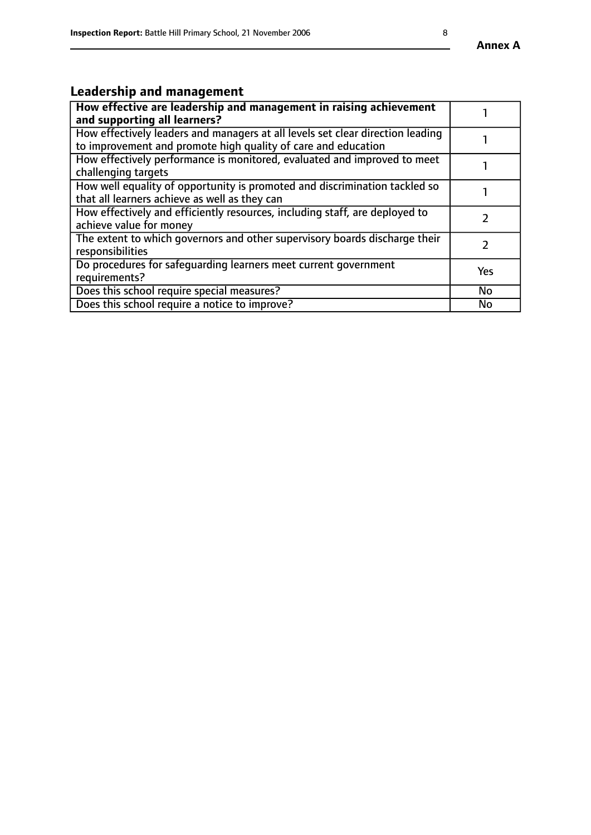# **Leadership and management**

| How effective are leadership and management in raising achievement<br>and supporting all learners?                                              |           |
|-------------------------------------------------------------------------------------------------------------------------------------------------|-----------|
| How effectively leaders and managers at all levels set clear direction leading<br>to improvement and promote high quality of care and education |           |
| How effectively performance is monitored, evaluated and improved to meet<br>challenging targets                                                 |           |
| How well equality of opportunity is promoted and discrimination tackled so<br>that all learners achieve as well as they can                     |           |
| How effectively and efficiently resources, including staff, are deployed to<br>achieve value for money                                          |           |
| The extent to which governors and other supervisory boards discharge their<br>responsibilities                                                  |           |
| Do procedures for safeguarding learners meet current government<br>requirements?                                                                | Yes       |
| Does this school require special measures?                                                                                                      | <b>No</b> |
| Does this school require a notice to improve?                                                                                                   | No        |